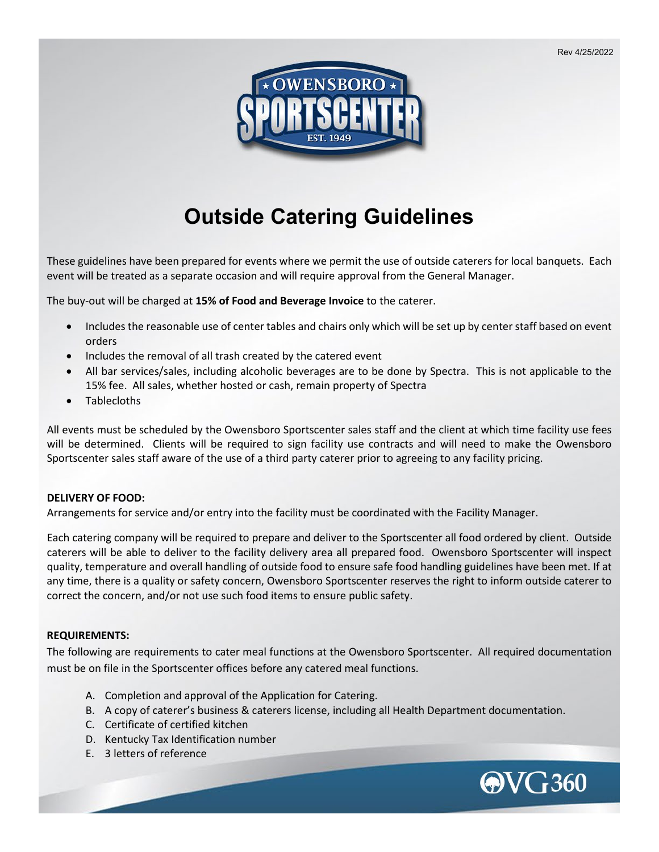Rev 4/25/2022



# **Outside Catering Guidelines**

These guidelines have been prepared for events where we permit the use of outside caterers for local banquets. Each event will be treated as a separate occasion and will require approval from the General Manager.

The buy-out will be charged at **15% of Food and Beverage Invoice** to the caterer.

- Includes the reasonable use of center tables and chairs only which will be set up by center staff based on event orders
- Includes the removal of all trash created by the catered event
- All bar services/sales, including alcoholic beverages are to be done by Spectra. This is not applicable to the 15% fee. All sales, whether hosted or cash, remain property of Spectra
- Tablecloths

All events must be scheduled by the Owensboro Sportscenter sales staff and the client at which time facility use fees will be determined. Clients will be required to sign facility use contracts and will need to make the Owensboro Sportscenter sales staff aware of the use of a third party caterer prior to agreeing to any facility pricing.

# **DELIVERY OF FOOD:**

Arrangements for service and/or entry into the facility must be coordinated with the Facility Manager.

Each catering company will be required to prepare and deliver to the Sportscenter all food ordered by client. Outside caterers will be able to deliver to the facility delivery area all prepared food. Owensboro Sportscenter will inspect quality, temperature and overall handling of outside food to ensure safe food handling guidelines have been met. If at any time, there is a quality or safety concern, Owensboro Sportscenter reserves the right to inform outside caterer to correct the concern, and/or not use such food items to ensure public safety.

# **REQUIREMENTS:**

The following are requirements to cater meal functions at the Owensboro Sportscenter. All required documentation must be on file in the Sportscenter offices before any catered meal functions.

- A. Completion and approval of the Application for Catering.
- B. A copy of caterer's business & caterers license, including all Health Department documentation.
- C. Certificate of certified kitchen
- D. Kentucky Tax Identification number
- E. 3 letters of reference

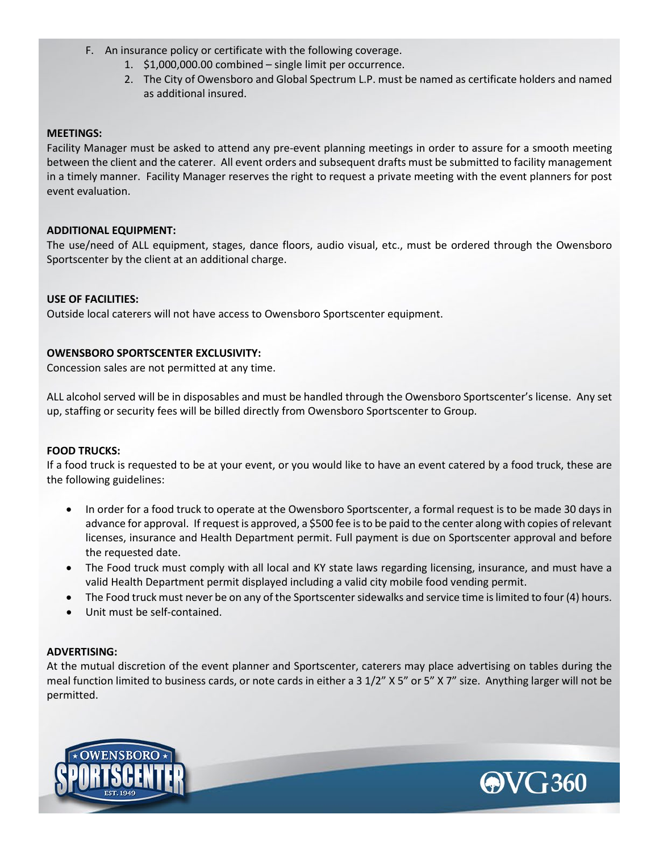- F. An insurance policy or certificate with the following coverage.
	- 1. \$1,000,000.00 combined single limit per occurrence.
	- 2. The City of Owensboro and Global Spectrum L.P. must be named as certificate holders and named as additional insured.

# **MEETINGS:**

Facility Manager must be asked to attend any pre-event planning meetings in order to assure for a smooth meeting between the client and the caterer. All event orders and subsequent drafts must be submitted to facility management in a timely manner. Facility Manager reserves the right to request a private meeting with the event planners for post event evaluation.

# **ADDITIONAL EQUIPMENT:**

The use/need of ALL equipment, stages, dance floors, audio visual, etc., must be ordered through the Owensboro Sportscenter by the client at an additional charge.

# **USE OF FACILITIES:**

Outside local caterers will not have access to Owensboro Sportscenter equipment.

# **OWENSBORO SPORTSCENTER EXCLUSIVITY:**

Concession sales are not permitted at any time.

ALL alcohol served will be in disposables and must be handled through the Owensboro Sportscenter's license. Any set up, staffing or security fees will be billed directly from Owensboro Sportscenter to Group.

# **FOOD TRUCKS:**

If a food truck is requested to be at your event, or you would like to have an event catered by a food truck, these are the following guidelines:

- In order for a food truck to operate at the Owensboro Sportscenter, a formal request is to be made 30 days in advance for approval. If request is approved, a \$500 fee is to be paid to the center along with copies of relevant licenses, insurance and Health Department permit. Full payment is due on Sportscenter approval and before the requested date.
- The Food truck must comply with all local and KY state laws regarding licensing, insurance, and must have a valid Health Department permit displayed including a valid city mobile food vending permit.
- The Food truck must never be on any of the Sportscenter sidewalks and service time is limited to four (4) hours.
- Unit must be self-contained.

# **ADVERTISING:**

At the mutual discretion of the event planner and Sportscenter, caterers may place advertising on tables during the meal function limited to business cards, or note cards in either a 3 1/2" X 5" or 5" X 7" size. Anything larger will not be permitted.